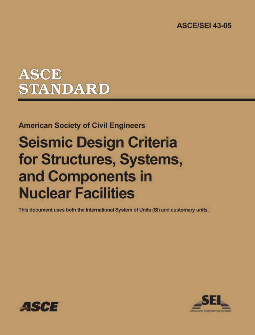#### **ASCE/SEL43-05**



#### **American Society of Civil Engineers**

# **Seismic Design Criteria** for Structures, Systems, and Components in **Nuclear Facilities**

This document uses both the International System of Units (SI) and customary units.



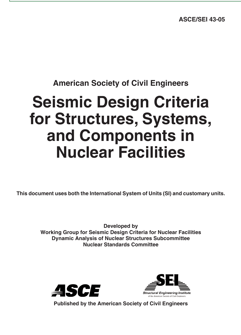**ASCE/SEI 43-05**

# **American Society of Civil Engineers**

# **Seismic Design Criteria for Structures, Systems, and Components in Nuclear Facilities**

**This document uses both the International System of Units (SI) and customary units.**

**Developed by Working Group for Seismic Design Criteria for Nuclear Facilities Dynamic Analysis of Nuclear Structures Subcommittee Nuclear Standards Committee**





**Published by the American Society of Civil Engineers**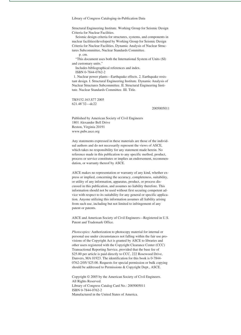Library of Congress Cataloging-in-Publication Data

Structural Engineering Institute. Working Group for Seismic Design Criteria for Nuclear Facilities.

Seismic design criteria for structures, systems, and components in nuclear facilities/developed by Working Group for Seismic Design Criteria for Nuclear Facilities, Dynamic Analysis of Nuclear Structures Subcommittee, Nuclear Standards Committee.

p. cm.

"This document uses both the International System of Units (SI) and customary units."

Includes bibliographical references and index. ISBN 0-7844-0762-2

1. Nuclear power plants—Earthquake effects. 2. Earthquake resistant design. I. Structural Engineering Institute. Dynamic Analysis of Nuclear Structures Subcommittee. II. Structural Engineering Institute. Nuclear Standards Committee. III. Title.

TK9152.163.S77 2005 621.48'32—dc22

2005005011

Published by American Society of Civil Engineers 1801 Alexander Bell Drive Reston, Virginia 20191 <www.pubs.asce.org>

Any statements expressed in these materials are those of the individual authors and do not necessarily represent the views of ASCE, which takes no responsibility for any statement made herein. No reference made in this publication to any specific method, product, process or service constitutes or implies an endorsement, recommendation, or warranty thereof by ASCE.

ASCE makes no representation or warranty of any kind, whether express or implied, concerning the accuracy, completeness, suitability, or utility of any information, apparatus, product, or process discussed in this publication, and assumes no liability therefore. This information should not be used without first securing competent advice with respect to its suitability for any general or specific application. Anyone utilizing this information assumes all liability arising from such use, including but not limited to infringement of any patent or patents.

ASCE and American Society of Civil Engineers—Registered in U.S. Patent and Trademark Office.

*Photocopies:* Authorization to photocopy material for internal or personal use under circumstances not falling within the fair use provisions of the Copyright Act is granted by ASCE to libraries and other users registered with the Copyright Clearance Center (CCC) Transactional Reporting Service, provided that the base fee of \$25.00 per article is paid directly to CCC, 222 Rosewood Drive, Danvers, MA 01923. The identification for this book is 0-7844- 0762-2/05/ \$25.00. Requests for special permission or bulk copying should be addressed to Permissions & Copyright Dept., ASCE.

Copyright © 2005 by the American Society of Civil Engineers. All Rights Reserved. Library of Congress Catalog Card No.: 2005005011 ISBN 0-7844-0762-2 Manufactured in the United States of America.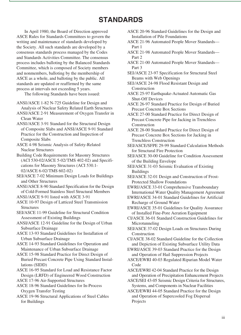# **STANDARDS**

In April 1980, the Board of Direction approved ASCE Rules for Standards Committees to govern the writing and maintenance of standards developed by the Society. All such standards are developed by a consensus standards process managed by the Codes and Standards Activities Committee. The consensus process includes balloting by the Balanced Standards Committee, which is composed of Society members and nonmembers, balloting by the membership of ASCE as a whole, and balloting by the public. All standards are updated or reaffirmed by the same process at intervals not exceeding 5 years.

The following Standards have been issued:

ANSI/ASCE 1-82 N-725 Guideline for Design and Analysis of Nuclear Safety Related Earth Structures

- ANSI/ASCE 2-91 Measurement of Oxygen Transfer in Clean Water
- ANSI/ASCE 3-91 Standard for the Structural Design of Composite Slabs and ANSI/ASCE 9-91 Standard Practice for the Construction and Inspection of Composite Slabs

ASCE 4-98 Seismic Analysis of Safety-Related Nuclear Structures

Building Code Requirements for Masonry Structures (ACI 530-02/ASCE 5-02/TMS 402-02) and Specifications for Masonry Structures (ACI 530.1- 02/ASCE 6-02/TMS 602-02)

SEI/ASCE 7-02 Minimum Design Loads for Buildings and Other Structures

ANSI/ASCE 8-90 Standard Specification for the Design of Cold-Formed Stainless Steel Structural Members

- ANSI /ASCE 9-91 listed with ASCE 3-91
- ASCE 10-97 Design of Latticed Steel Transmission Structures

SEI/ASCE 11-99 Guideline for Structural Condition Assessment of Existing Buildings

ANSI/ASCE 12-91 Guideline for the Design of Urban Subsurface Drainage

ASCE 13-93 Standard Guidelines for Installation of Urban Subsurface Drainage

ASCE 14-93 Standard Guidelines for Operation and Maintenance of Urban Subsurface Drainage

ASCE 15-98 Standard Practice for Direct Design of Buried Precast Concrete Pipe Using Standard Installations (SIDD)

ASCE 16-95 Standard for Load and Resistance Factor Design (LRFD) of Engineered Wood Construction

ASCE 17-96 Air-Supported Structures

ASCE 18-96 Standard Guidelines for In-Process Oxygen Transfer Testing

ASCE 19-96 Structural Applications of Steel Cables for Buildings

- ASCE 20-96 Standard Guidelines for the Design and Installation of Pile Foundations
- ASCE 21-96 Automated People Mover Standards— Part 1
- ASCE 21-98 Automated People Mover Standards— Part 2
- ASCE 21-00 Automated People Mover Standards— Part 3
- SEI/ASCE 23-97 Specification for Structural Steel Beams with Web Openings

SEI/ASCE 24-98 Flood Resistant Design and Construction

ASCE 25-97 Earthquake-Actuated Automatic Gas Shut-Off Devices

ASCE 26-97 Standard Practice for Design of Buried Precast Concrete Box Sections

ASCE 27-00 Standard Practice for Direct Design of Precast Concrete Pipe for Jacking in Trenchless Construction

ASCE 28-00 Standard Practice for Direct Design of Precast Concrete Box Sections for Jacking in Trenchless Construction

- SEI/ASCE/SFPE 29-99 Standard Calculation Methods for Structural Fire Protection
- SEI/ASCE 30-00 Guideline for Condition Assessment of the Building Envelope
- SEI/ASCE 31-03 Seismic Evaluation of Existing Buildings
- SEI/ASCE 32-01 Design and Construction of Frost-Protected Shallow Foundations

EWRI/ASCE 33-01 Comprehensive Transboundary International Water Quality Management Agreement

EWRI/ASCE 34-01 Standard Guidelines for Artificial Recharge of Ground Water

EWRI/ASCE 35-01 Guidelines for Quality Assurance of Installed Fine-Pore Aeration Equipment

CI/ASCE 36-01 Standard Construction Guidelines for Microtunneling

SEI/ASCE 37-02 Design Loads on Structures During Construction

CI/ASCE 38-02 Standard Guideline for the Collection and Depiction of Existing Subsurface Utility Data

EWRI/ASCE 39-03 Standard Practice for the Design and Operation of Hail Suppression Projects

ASCE/EWRI 40-03 Regulated Riparian Model Water Code

ASCE/EWRI 42-04 Standard Practice for the Design and Operation of Precipitation Enhancement Projects

ASCE/SEI 43-05 Seismic Design Criteria for Structures, Systems, and Components in Nuclear Facilities

ASCE/EWRI 44-05 Standard Practice for the Design and Operation of Supercooled Fog Dispersal Projects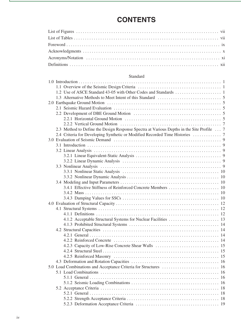# **CONTENTS**

### [Standard](#page-17-0)

| 2.3 Method to Define the Design Response Spectra at Various Depths in the Site Profile  7 |  |
|-------------------------------------------------------------------------------------------|--|
| 2.4 Criteria for Developing Synthetic or Modified Recorded Time Histories  7              |  |
|                                                                                           |  |
|                                                                                           |  |
|                                                                                           |  |
|                                                                                           |  |
|                                                                                           |  |
|                                                                                           |  |
|                                                                                           |  |
|                                                                                           |  |
|                                                                                           |  |
|                                                                                           |  |
|                                                                                           |  |
|                                                                                           |  |
|                                                                                           |  |
|                                                                                           |  |
|                                                                                           |  |
| 4.1.2 Acceptable Structural Systems for Nuclear Facilities  13                            |  |
|                                                                                           |  |
|                                                                                           |  |
|                                                                                           |  |
|                                                                                           |  |
|                                                                                           |  |
|                                                                                           |  |
|                                                                                           |  |
|                                                                                           |  |
|                                                                                           |  |
|                                                                                           |  |
|                                                                                           |  |
|                                                                                           |  |
|                                                                                           |  |
|                                                                                           |  |
|                                                                                           |  |
|                                                                                           |  |

<span id="page-4-1"></span><span id="page-4-0"></span><u>.</u>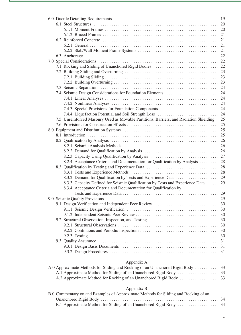| 7.5 Unreinforced Masonry Used as Movable Partitions, Barriers, and Radiation Shielding . 25 |  |
|---------------------------------------------------------------------------------------------|--|
|                                                                                             |  |
|                                                                                             |  |
|                                                                                             |  |
|                                                                                             |  |
|                                                                                             |  |
|                                                                                             |  |
|                                                                                             |  |
| 8.2.4 Acceptance Criteria and Documentation for Qualification by Analysis  28               |  |
|                                                                                             |  |
|                                                                                             |  |
|                                                                                             |  |
| 8.3.3 Capacity Defined for Seismic Qualification by Tests and Experience Data 29            |  |
| 8.3.4 Acceptance Criteria and Documentation for Qualification by                            |  |
|                                                                                             |  |
|                                                                                             |  |
|                                                                                             |  |
|                                                                                             |  |
|                                                                                             |  |
|                                                                                             |  |
|                                                                                             |  |
|                                                                                             |  |
|                                                                                             |  |
|                                                                                             |  |
|                                                                                             |  |
|                                                                                             |  |
|                                                                                             |  |
|                                                                                             |  |

щ

## [Appendix A](#page--1-1)

## [Appendix B](#page--1-5)

| B.0 Commentary on and Examples of Approximate Methods for Sliding and Rocking of an |  |
|-------------------------------------------------------------------------------------|--|
|                                                                                     |  |
|                                                                                     |  |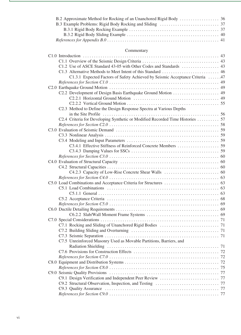### [Commentary](#page--1-1)

| C1.3.1 Expected Factors of Safety Achieved by Seismic Acceptance Criteria 47   |  |
|--------------------------------------------------------------------------------|--|
|                                                                                |  |
|                                                                                |  |
|                                                                                |  |
|                                                                                |  |
|                                                                                |  |
| C2.3 Method to Define the Design Response Spectra at Various Depths            |  |
|                                                                                |  |
| C2.4 Criteria for Developing Synthetic or Modified Recorded Time Histories  57 |  |
|                                                                                |  |
|                                                                                |  |
|                                                                                |  |
|                                                                                |  |
|                                                                                |  |
|                                                                                |  |
|                                                                                |  |
|                                                                                |  |
|                                                                                |  |
|                                                                                |  |
|                                                                                |  |
|                                                                                |  |
|                                                                                |  |
|                                                                                |  |
|                                                                                |  |
|                                                                                |  |
|                                                                                |  |
|                                                                                |  |
|                                                                                |  |
|                                                                                |  |
|                                                                                |  |
|                                                                                |  |
| C7.5 Unreinforced Masonry Used as Movable Partitions, Barriers, and            |  |
|                                                                                |  |
|                                                                                |  |
|                                                                                |  |
|                                                                                |  |
|                                                                                |  |
|                                                                                |  |
|                                                                                |  |
|                                                                                |  |
|                                                                                |  |
|                                                                                |  |

i.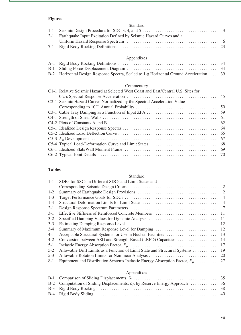### <span id="page-7-1"></span><span id="page-7-0"></span>**[Figures](#page-4-0)**

| Standard                                                               |
|------------------------------------------------------------------------|
|                                                                        |
| 2-1 Earthquake Input Excitation Defined by Seismic Hazard Curves and a |
|                                                                        |
|                                                                        |
| Appendixes                                                             |
|                                                                        |
|                                                                        |

#### **Commentary**

B-1 Sliding Force-Displacement Diagram . . . . . . . . . . . . . . . . . . . . . . . . . . . . . . . . . . . . . . . . . . 34 B-2 Horizontal Design Response Spectra, Scaled to 1-g Horizontal Ground Acceleration . . . . . 39

| C1-1 Relative Seismic Hazard at Selected West Coast and East/Central U.S. Sites for |  |
|-------------------------------------------------------------------------------------|--|
|                                                                                     |  |
| C2-1 Seismic Hazard Curves Normalized by the Spectral Acceleration Value            |  |
|                                                                                     |  |
|                                                                                     |  |
|                                                                                     |  |
|                                                                                     |  |
|                                                                                     |  |
|                                                                                     |  |
|                                                                                     |  |
|                                                                                     |  |
|                                                                                     |  |
|                                                                                     |  |

### **[Tables](#page-4-0)**

|         | Standard                                                                      |  |
|---------|-------------------------------------------------------------------------------|--|
| $1 - 1$ | SDBs for SSCs in Different SDCs and Limit States and                          |  |
|         |                                                                               |  |
| $1 - 2$ |                                                                               |  |
| $1 - 3$ |                                                                               |  |
| $1-4$   |                                                                               |  |
| $2 - 1$ |                                                                               |  |
| $3-1$   |                                                                               |  |
| $3-2$   |                                                                               |  |
| $3-3$   |                                                                               |  |
| $3-4$   |                                                                               |  |
| $4 - 1$ |                                                                               |  |
| 4-2     |                                                                               |  |
| $5-1$   |                                                                               |  |
| $5-2$   | Allowable Drift Limits as a Function of Limit State and Structural Systems 19 |  |
| $5-3$   |                                                                               |  |
| $8 - 1$ |                                                                               |  |

### Appendixes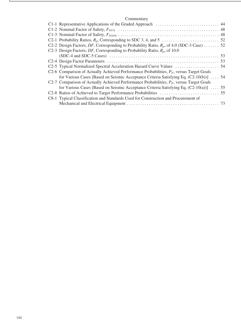| Commentary |
|------------|
|------------|

| C2-2 Design Factors, DF, Corresponding to Probability Ratio, $R_p$ , of 4.0 (SDC-3 Case)  52 |  |
|----------------------------------------------------------------------------------------------|--|
| C2-3 Design Factors, DF, Corresponding to Probability Ratio, $R_p$ , of 10.0                 |  |
|                                                                                              |  |
|                                                                                              |  |
|                                                                                              |  |
| C2-6 Comparison of Actually Achieved Performance Probabilities, $P_F$ , versus Target Goals  |  |
| for Various Cases [Based on Seismic Acceptance Criteria Satisfying Eq. (C2-10(b))]  54       |  |
| C2-7 Comparison of Actually Achieved Performance Probabilities, $P_F$ , versus Target Goals  |  |
| for Various Cases [Based on Seismic Acceptance Criteria Satisfying Eq. $(C2-10(a))$ ]  55    |  |
|                                                                                              |  |
| C8-1 Typical Classification and Standards Used for Construction and Procurement of           |  |
|                                                                                              |  |
|                                                                                              |  |

L.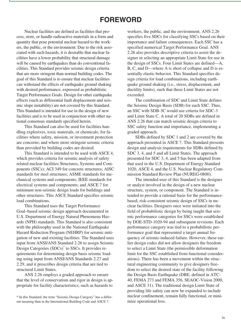# **[FOREWORD](#page-4-1)**

<span id="page-9-0"></span>Nuclear facilities are defined as facilities that process, store, or handle radioactive materials in a form and quantity that pose potential nuclear hazard to the workers, the public, or the environment. Due to the risk associated with such hazards, it is desirable that nuclear facilities have a lower probability that structural damage will be caused by earthquakes than do conventional facilities. This Standard provides seismic design criteria that are more stringent than normal building codes. The goal of this Standard is to ensure that nuclear facilities can withstand the effects of earthquake ground shaking with desired performance, expressed as probabilistic Target Performance Goals. Design for other earthquake effects (such as differential fault displacement and seismic slope instability) are not covered by this Standard. This Standard is intended for use in the design of new facilities and is to be used in conjunction with other national consensus standards specified herein.

This Standard can also be used for facilities handling explosives, toxic materials, or chemicals; for facilities where safety, mission, or investment protection are concerns; and where more stringent seismic criteria than provided by building codes are desired.

This Standard is intended to be used with ASCE 4, which provides criteria for seismic analysis of safety related nuclear facilities Structures, Systems and Components (SSCs); ACI 349 for concrete structures; AISC standards for steel structures; ASME standards for mechanical systems and components; IEEE standards for electrical systems and components; and ASCE 7 for minimum non-seismic design loads for buildings and other structures. This ASCE Standard specifies seismic load combinations.

This Standard uses the Target Performance Goal–based seismic design approach documented in U.S. Department of Energy Natural Phenomena Hazards (NPH) standards. This Standard is also consistent with the philosophy used in the National Earthquake Hazard Reduction Program (NEHRP) for seismic mitigation of new and existing facilities. The Standard uses input from ANSI/ANS Standard 2.26 to assign Seismic Design Categories (SDCs)\* to SSCs. It provides requirements for determining design basis seismic loading using input from ANSI/ANS Standards 2.27 and 2.29, and it prescribes design criteria that are tied to structural Limit States.

ANS 2.26 employs a graded approach to ensure that the level of conservatism and rigor in design is appropriate for facility characteristics, such as hazards to

\* In this Standard, the term "Seismic Design Category" has a different meaning than in the International Building Code and ASCE 7.

workers, the public, and the environment. ANS 2.26 specifies five SDCs for classifying SSCs based on their importance and failure consequences. Each SSC has a specified numerical Target Performance Goal. ANS 2.26 also provides descriptive criteria to assist the designer in selecting an appropriate Limit State for use in the design of SSCs. Four Limit States are defined—A, B, C, and D—where A is short of collapse and D is essentially elastic behavior. This Standard specifies design criteria for load combinations, including earthquake ground shaking (i.e., stress, displacement, and ductility limits), such that these Limit States are not exceeded.

The combination of SDC and Limit State defines the Seismic Design Basis (SDB) for each SSC. Thus, an SSC with SDB-3C would use criteria for SDC-3 and Limit State C. A total of 20 SDBs are defined in ANS 2.26 that can match seismic design criteria to SSC safety function and importance, implementing a graded approach.

SDBs defined by SDC 1 and 2 are covered by the approach presented in ASCE 7. This Standard presents design and analysis requirements for SDBs defined by SDC 3, 4, and 5 and all Limit States. The approach presented for SDC 3, 4, and 5 has been adapted from that used in the U.S. Department of Energy Standard 1020, ASCE 4, and the U.S. Nuclear Regulatory Commission Standard Review Plan (NUREG-0800).

The intended user of this Standard is the designer or analyst involved in the design of a new nuclear structure, system, or component. The Standard is intended to provide a rational basis for the performancebased, risk-consistent seismic design of SSCs in nuclear facilities. Designers once were initiated into the field of probabilistic design by being taught that seismic performance categories for SSCs were established by DOE-STD-1020-94 and subsequent revisions. Each performance category was tied to a probabilistic performance goal that represented a target annual frequency of seismic-induced failure. However, these earlier design codes did not allow designers the freedom to select a Limit State (the permissible deformation limit for the SSC established from functional considerations). There has been a movement within the structural engineering community to give designers freedom to select the desired state of the facility following the Design Basis Earthquake (DBE, defined in ATC-40, FEMA 273 and FEMA 356, SEAOC-Vision 2000, and ASCE 31). The traditional design Limit State of providing life safety can now be expanded to include nuclear confinement, remain fully functional, or minimize operational loss.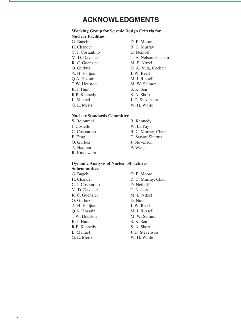# **[ACKNOWLEDGMENTS](#page-4-1)**

#### <span id="page-10-0"></span>**Working Group for Seismic Design Criteria for Nuclear Facilities**

| G. Bagchi        |
|------------------|
| H. Chander       |
| C. J. Costantino |
| M. D. Davister   |
| R. C. Guenzler   |
| O. Gurbuz        |
| A. H. Hadjian    |
| Q.A. Hossain     |
| T.W. Houston     |
| R. J. Hunt       |
| R.P. Kennedy     |
| L. Manuel        |
| G. E. Mertz      |

D. P. Moore R. C. Murray D. Neihoff T. A. Nelson, Cochair M. E. Nitzel D. A. Nuta, Cochair J. W. Reed M. J. Russell M. W. Salmon S. K. Sen S. A. Short J. D. Stevenson W. H. White

### **Nuclear Standards Committee**

- S. Bolourchi R. Kennedy J. Costello W. La Pay C. Costantino R. C. Murray, Chair F. Feng T. Satyan-Sharma O. Gurbuz J. Stevenson A. Hadjian P. Wang R. Kassawara
- 

#### **Dynamic Analysis of Nuclear Structures Subcommittee**

G. Bagchi D. P. Moore H. Chander R. C. Murray, Chair C. J. Costantino D. Neihoff M. D. Davister T. Nelson R. C. Guenzler M. E. Nitzel O. Gurbuz D. Nuta A. H. Hadjian J. W. Reed Q.A. Hossain M. J. Russell T.W. Houston M.W. Salmon R. J. Hunt S. K. Sen R.P. Kennedy S. A. Short L. Manuel J. D. Stevenson G. E. Mertz W. H. White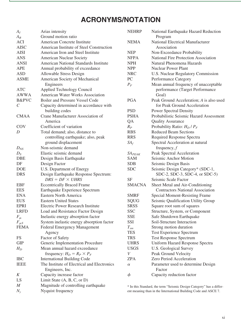# **[ACRONYMS/NOTATION](#page-4-1)**

<span id="page-11-0"></span>┕

| $A_I$                 | Arias intensity                             | <b>NEHRP</b>                                                    | National Earthquake Hazard Reduction                                 |
|-----------------------|---------------------------------------------|-----------------------------------------------------------------|----------------------------------------------------------------------|
| $A_R$                 | Ground motion ratio                         |                                                                 | Program                                                              |
| ACI                   | American Concrete Institute                 | <b>NEMA</b>                                                     | National Electrical Manufacturer                                     |
| <b>AISC</b>           | American Institute of Steel Construction    |                                                                 | Association                                                          |
| <b>AISI</b>           | American Iron and Steel Institute           | <b>NEP</b>                                                      | Non-Exceedance Probability                                           |
| <b>ANS</b>            | <b>American Nuclear Society</b>             | <b>NFPA</b>                                                     | National Fire Protection Association                                 |
| <b>ANSI</b>           | American National Standards Institute       | <b>NPH</b>                                                      | Natural Phenomena Hazards                                            |
| <b>APE</b>            | Annual probability of exceedance            | <b>NPP</b>                                                      | <b>Nuclear Power Plant</b>                                           |
| <b>ASD</b>            | Allowable Stress Design                     | <b>NRC</b>                                                      | U.S. Nuclear Regulatory Commission                                   |
| <b>ASME</b>           | American Society of Mechanical              | PC                                                              | Performance Category                                                 |
|                       | Engineers                                   | $P_F$                                                           | Mean annual frequency of unacceptable                                |
| <b>ATC</b>            | Applied Technology Council                  |                                                                 | performance (Target Performance                                      |
| <b>AWWA</b>           | American Water Works Association            |                                                                 | Goal)                                                                |
| <b>B&amp;PVC</b>      | Boiler and Pressure Vessel Code             | <b>PGA</b>                                                      | Peak Ground Acceleration; A is also used                             |
| $\mathcal{C}_{0}^{0}$ | Capacity determined in accordance with      |                                                                 | for Peak Ground Acceleration                                         |
|                       | building codes                              | <b>PSD</b>                                                      | <b>Power Spectral Density</b>                                        |
| <b>CMAA</b>           | Crane Manufacturer Association of           | <b>PSHA</b>                                                     | Probabilistic Seismic Hazard Assessment                              |
|                       | America                                     | QA                                                              | <b>Quality Assurance</b>                                             |
|                       | Coefficient of variation                    |                                                                 |                                                                      |
| COV                   |                                             | $R_P$                                                           | Probability Ratio: $H_D$ / $P_F$                                     |
| D                     | Total demand; also, distance to             | <b>RBS</b>                                                      | <b>Reduced Beam Sections</b>                                         |
|                       | controlling earthquake; also, peak          | <b>RRS</b>                                                      | Required Response Spectra                                            |
|                       | ground displacement                         | $SA_f$                                                          | Spectral Acceleration at natural                                     |
| $D_{NS}$              | Non-seismic demand                          |                                                                 | frequency, $f$                                                       |
| $D_S$                 | Elastic seismic demand                      | $SA$ <sub>PEAK</sub>                                            | Peak Spectral Acceleration                                           |
| <b>DBE</b>            | Design Basis Earthquake                     | <b>SAM</b>                                                      | Seismic Anchor Motion                                                |
| DF                    | Design Factor                               | <b>SDB</b>                                                      | Seismic Design Basis                                                 |
| <b>DOE</b>            | U.S. Department of Energy                   | <b>SDC</b>                                                      | Seismic Design Category* (SDC-1,                                     |
| <b>DRS</b>            | Design Earthquake Response Spectrum:        |                                                                 | SDC-2, SDC-3, SDC-4, or SDC-5)                                       |
|                       | $DRS = DF \times UHRS$                      | <b>SF</b>                                                       | Seismic Scale Factor                                                 |
| EBF                   | <b>Eccentrically Braced Frame</b>           | <b>SMACNA</b>                                                   | Sheet Metal and Air-Conditioning                                     |
| <b>EES</b>            | Earthquake Experience Spectrum              |                                                                 | <b>Contractors National Association</b>                              |
| <b>ENA</b>            | Eastern North America                       | <b>SMRF</b>                                                     | <b>Special Moment-Resisting Frame</b>                                |
| <b>EUS</b>            | <b>Eastern United States</b>                | SQUG                                                            | Seismic Qualification Utility Group                                  |
| <b>EPRI</b>           | Electric Power Research Institute           | <b>SRSS</b>                                                     | Square root sum of squares                                           |
| <b>LRFD</b>           | Load and Resistance Factor Design           | <b>SSC</b>                                                      | Structure, System, or Component                                      |
| $F_{\mu}$             | Inelastic energy absorption factor          | <b>SSE</b>                                                      | Safe Shutdown Earthquake                                             |
| $F_{\mu S}$           | System inelastic energy absorption factor   | <b>SSI</b>                                                      | Soil-Structure Interaction                                           |
| <b>FEMA</b>           | <b>Federal Emergency Management</b>         | $T_{\it sm}$                                                    | Strong motion duration                                               |
|                       | Agency                                      | <b>TES</b>                                                      | <b>Test Experience Spectrum</b>                                      |
| <b>FS</b>             | Factor of Safety                            | <b>TRS</b>                                                      | <b>Test Response Spectrum</b>                                        |
| <b>GIP</b>            | Generic Implementation Procedure            | <b>UHRS</b>                                                     | Uniform Hazard Response Spectra                                      |
| $H_D$                 | Mean annual hazard exceedance               | <b>USGS</b>                                                     | U.S. Geological Survey                                               |
|                       | frequency: $H_D = R_P \times P_F$           | $\boldsymbol{V}$                                                | Peak Ground Velocity                                                 |
| <b>IBC</b>            | <b>International Building Code</b>          | <b>ZPA</b>                                                      | Zero Period Acceleration                                             |
| <b>IEEE</b>           | The Institute of Electrical and Electronics | $\alpha$                                                        | Parameter used to determine Design                                   |
|                       | Engineers, Inc.                             |                                                                 | Factor                                                               |
| K                     | Capacity increase factor                    | $\phi$                                                          | Capacity reduction factor                                            |
| LS                    | Limit State $(A, B, C, or D)$               |                                                                 |                                                                      |
| $\cal M$              | Magnitude of controlling earthquake         |                                                                 | * In this Standard, the term "Seismic Design Category" has a differ- |
| $N_{y}$               | Nyquist frequency                           | ent meaning than in the International Building Code and ASCE 7. |                                                                      |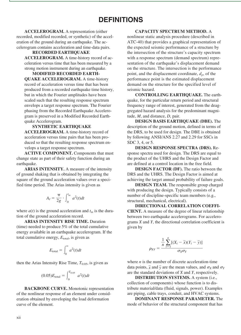# **[DEFINITIONS](#page-4-1)**

<span id="page-12-0"></span>**ACCELEROGRAM.** A representation (either recorded, modified recorded, or synthetic) of the acceleration of the ground during an earthquake. The accelerogram contains acceleration and time-data pairs.

#### **RECORDED EARTHQUAKE**

**ACCELEROGRAM.** A time-history record of acceleration versus time that has been measured by a strong motion instrument during an earthquake.

**MODIFIED RECORDED EARTH-QUAKE ACCELEROGRAM.** A time-history record of acceleration versus time that has been produced from a recorded earthquake time history, but in which the Fourier amplitudes have been scaled such that the resulting response spectrum envelops a target response spectrum. The Fourier phasing from the Recorded Earthquake Accelerogram is preserved in a Modified Recorded Earthquake Accelerogram.

#### **SYNTHETIC EARTHQUAKE**

**ACCELEROGRAM.** A time-history record of acceleration versus time pairs that has been produced so that the resulting response spectrum envelops a target response spectrum.

**ACTIVE COMPONENT.** Components that must change state as part of their safety function during an earthquake.

**ARIAS INTENSITY.** A measure of the intensity of ground shaking that is obtained by integrating the square of the ground acceleration values over a specified time period. The Arias intensity is given as

$$
A_I = \frac{\pi}{2g} \cdot \int_0^{t_m} a^2(t)dt
$$

where  $a(t)$  is the ground acceleration and  $t_m$  is the duration of the ground acceleration record.

**ARIAS INTENSITY RISE TIME.** Duration (time) needed to produce 5% of the total cumulative energy available in an earthquake accelerogram. If the total cumulative energy,  $E_{total}$ , is given as

$$
E_{\text{total}} = \int_0^\infty a^2(t)dt
$$

then the Arias Intensity Rise Time,  $T_{0.05}$ , is given as

$$
(0.05)E_{\text{total}} = \int_0^{T_{0.05}} a^2(t)dt
$$

**BACKBONE CURVE.** Monotonic representation of the nonlinear response of an element under consideration obtained by enveloping the load deformation curve of the element.

#### **CAPACITY SPECTRUM METHOD.** A

nonlinear static analysis procedure (described in ATC-40) that provides a graphical representation of the expected seismic performance of a structure by the intersection of the structure's capacity spectrum with a response spectrum (demand spectrum) representation of the earthquake's displacement demand on the structure. The intersection is the performance point, and the displacement coordinate,  $d_p$ , of the performance point is the estimated displacement demand on the structure for the specified level of seismic hazard.

**CONTROLLING EARTHQUAKE.** The earthquake, for the particular return period and structural frequency range of interest, generated from the deaggregated hazard analysis for the predominant magnitude, *M*, and distance, *D*, pair.

**DESIGN BASIS EARTHQUAKE (DBE).** The description of the ground motion, defined in terms of the DRS, to be used for design. The DBE is obtained by following ANSI/ANS 2.27 and 2.29 for SSCs in SDC 3, 4, or 5.

**DESIGN RESPONSE SPECTRA (DRS).** Response spectra used for design. The DRS are equal to the product of the UHRS and the Design Factor and are defined at a control location in the free field.

**DESIGN FACTOR (DF).** The ratio between the DRS and the UHRS. The Design Factor is aimed at achieving the target annual probability of failure goals.

**DESIGN TEAM.** The responsible group charged with producing the design. Typically consists of a number of discipline-specific team members (e.g., structural, mechanical, electrical).

**DIRECTIONAL CORRELATION COEFFI-CIENT.** A measure of the degree of linear relationship between two earthquake accelerograms. For accelerograms *X* and *Y*, the directional correlation coefficient is given by

$$
\rho_{XY} = \frac{\frac{1}{n} \sum_{i=1}^{n} [(X_i - \overline{x})(Y_i - \overline{y})]}{\sigma_X \sigma_Y}
$$

where *n* is the number of discrete acceleration-time data points,  $\bar{x}$  and  $\bar{y}$  are the mean values, and  $\sigma_X$  and  $\sigma_Y$ are the standard deviations of *X* and *Y*, respectively.

**DISTRIBUTION SYSTEMS.** A system (i.e., collection of components) whose function is to distribute material/data (fluid, signals, power). Examples are piping, cable trays, conduit, and HVAC systems.

**DOMINANT RESPONSE PARAMETER.** The mode of behavior of the structural component that has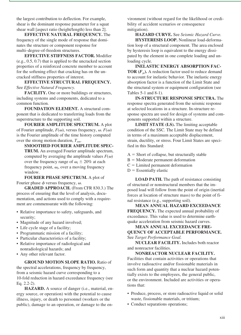the largest contribution to deflection. For example, shear is the dominant response parameter for a squat shear wall [aspect ratio (height/length) less than 2].

**EFFECTIVE NATURAL FREQUENCY.** The frequency of the single mode of response that dominates the structure or component response for multi–degree-of-freedom structures.

**EFFECTIVE STIFFNESS FACTOR.** Modifier (e.g., 0.5, 0.7) that is applied to the uncracked section properties of a reinforced concrete member to account for the softening effect that cracking has on the uncracked stiffness properties of interest.

**EFFECTIVE STRUCTURAL FREQUENCY.** See *Effective Natural Frequency.*

**FACILITY.** One or more buildings or structures, including systems and components, dedicated to a common function.

**FOUNDATION ELEMENT.** A structural component that is dedicated to transferring loads from the superstructure to the supporting soil.

**FOURIER AMPLITUDE SPECTRUM.** A plot of Fourier amplitude,  $F(\omega)$ , versus frequency,  $\omega$ .  $F(\omega)$ is the Fourier amplitude of the time history computed over the strong motion duration,  $T_{\text{sm}}$ .

**SMOOTHED FOURIER AMPLITUDE SPEC-TRUM.** An averaged Fourier amplitude spectrum, computed by averaging the amplitude values  $F(\omega)$ over the frequency range of  $\omega_i \pm 20\%$  at each frequency point,  $\omega_i$ , over a moving frequency window.

**FOURIER PHASE SPECTRUM.** A plot of Fourier phase  $\phi$  versus frequency,  $\omega$ .

**GRADED APPROACH.** (From CFR 830.3.) The process of ensuring that the level of analysis, documentation, and actions used to comply with a requirement are commensurate with the following:

- Relative importance to safety, safeguards, and security;
- Magnitude of any hazard involved;
- Life cycle stage of a facility;
- Programmatic mission of a facility;
- Particular characteristics of a facility;
- Relative importance of radiological and nonradiological hazards; and
- Any other relevant factor.

**GROUND MOTION SLOPE RATIO.** Ratio of the spectral accelerations, frequency by frequency, from a seismic hazard curve corresponding to a 10-fold reduction in hazard exceedance frequency (see Eq. 2.2-2).

**HAZARD.** A source of danger (i.e., material, energy source, or operation) with the potential to cause illness, injury, or death to personnel (workers or the public), damage to an operation, or damage to the en-

vironment (without regard for the likelihood or credibility of accident scenarios or consequence mitigation).

### **HAZARD CURVE.** See *Seismic Hazard Curve.*

**HYSTERESIS LOOP.** Nonlinear load-deformation loop of a structural component. The area enclosed by hysteresis loop is equivalent to the energy dissipated by the element in one complete loading and unloading cycle.

**INELASTIC ENERGY ABSORPTION FAC-TOR**  $(F_\mu)$ . A reduction factor used to reduce demand to account for inelastic behavior. The inelastic energy absorption factor is a function of the Limit State and the structural system or equipment configuration (see Tables 5-1 and 8-1).

**IN-STRUCTURE RESPONSE SPECTRA.** The response spectra generated from the seismic response at selected locations in a structure. In-structure response spectra are used for design of systems and components supported within a structure.

**LIMIT STATE (LS).** The limiting acceptable condition of the SSC. The Limit State may be defined in terms of a maximum acceptable displacement, strain, ductility, or stress. Four Limit States are specified in this Standard:

- $A =$  Short of collapse, but structurally stable
- $B =$ Moderate permanent deformation
- $C =$  Limited permanent deformation
- $D =$  Essentially elastic

**LOAD PATH.** The path of resistance consisting of structural or nonstructural members that the imposed load will follow from the point of origin (inertial forces at location of structure mass) to the point of final resistance (e.g., supporting soil).

**MEAN ANNUAL HAZARD EXCEEDANCE FREQUENCY.** The expected annual probability of exceedance. This value is used to determine earthquake acceleration from seismic hazard curves.

#### **MEAN ANNUAL EXCEEDANCE FRE-QUENCY OF ACCEPTABLE PERFORMANCE.** See *Target Performance Goal.*

**NUCLEAR FACILITY.** Includes both reactor and nonreactor facilities.

**NONREACTOR NUCLEAR FACILITY.** Facilities that contain activities or operations that involve radioactive and/or fissionable materials in such form and quantity that a nuclear hazard potentially exists to the employees, the general public, or the environment. Included are activities or operations that:

- Produce, process, or store radioactive liquid or solid waste, fissionable materials, or tritium;
- Conduct separations operations;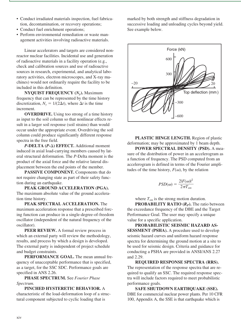- Conduct irradiated materials inspection, fuel fabrication, decontamination, or recovery operations;
- Conduct fuel enrichment operations;
- Perform environmental remediation or waste management activities involving radioactive materials.

Linear accelerators and targets are considered nonreactor nuclear facilities. Incidental use and generation of radioactive materials in a facility operation (e.g., check and calibration sources and use of radioactive sources in research, experimental, and analytical laboratory activities, electron microscopes, and X-ray machines) would not ordinarily require the facility to be included in this definition.

**NYQUIST FREQUENCY (***Ny***).** Maximum frequency that can be represented by the time history discretization,  $N_v = 1/(2\Delta t)$ , where  $\Delta t$  is the time increment.

**OVERDRIVE.** Using too strong of a time history as input to the soil column so that nonlinear effects result in a larger soil response (soil strains) than would occur under the appropriate event. Overdriving the soil column could produce significantly different response spectra in the free field.

*P***-DELTA (***P***-) EFFECT.** Additional moment induced in axial load-carrying members caused by lateral structural deformation. The *P*-Delta moment is the product of the axial force and the relative lateral displacement between the end points of the member.

**PASSIVE COMPONENT.** Components that do not require changing state as part of their safety function during an earthquake.

**PEAK GROUND ACCELERATION (PGA).** The maximum absolute value of the ground acceleration time history.

**PEAK SPECTRAL ACCELERATION.** The maximum acceleration response that a prescribed forcing function can produce in a single-degree-of-freedom oscillator (independent of the natural frequency of the oscillator).

**PEER REVIEW.** A formal review process in which an external party will review the methodology, results, and process by which a design is developed. The external party is independent of project schedule and budget constraints.

**PERFORMANCE GOAL.** The mean annual frequency of unacceptable performance that is specified, as a target, for the SSC SDC. Performance goals are specified in ANS 2.26.

**PHASE SPECTRUM.** See *Fourier Phase Spectrum.*

**PINCHED HYSTERETIC BEHAVIOR.** A characteristic of the load-deformation loop of a structural component subjected to cyclic loading that is

marked by both strength and stiffness degradation in successive loading and unloading cycles beyond yield. See example below.



**PLASTIC HINGE LENGTH.** Region of plastic deformation; may be approximated by 1 beam depth.

**POWER SPECTRAL DENSITY (PSD).** A measure of the distribution of power in an accelerogram as a function of frequency. The PSD computed from an accelerogram is defined in terms of the Fourier amplitudes of the time history,  $F(\omega)$ , by the relation

$$
PSD(\omega) = \frac{2|F(\omega)|^2}{2\pi T_{sm}}
$$

where  $T_{sm}$  is the strong motion duration.

**PROBABILITY RATIO (***R<sub>P</sub>***).** The ratio between the exceedance frequency of the DBE and the Target Performance Goal. The user may specify a unique value for a specific application.

**PROBABILISTIC SEISMIC HAZARD AS-SESSMENT (PSHA).** A procedure used to develop seismic hazard curves and uniform hazard response spectra for determining the ground motion at a site to be used for seismic design. Criteria and guidance for conducting a PSHA are provided in ANSI/ANS 2.27 and 2.29.

**REQUIRED RESPONSE SPECTRA (RRS).** The representation of the response spectra that are required to qualify an SSC. The required response spectra will include factors required to meet probabilistic performance goals.

**SAFE SHUTDOWN EARTHQUAKE (SSE).** DBE for commercial nuclear power plants. Per 10 CFR 100, Appendix A, the SSE is that earthquake which is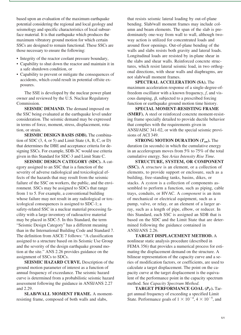based upon an evaluation of the maximum earthquake potential considering the regional and local geology and seismology and specific characteristics of local subsurface material. It is that earthquake which produces the maximum vibratory ground motion for which certain SSCs are designed to remain functional. These SSCs are those necessary to ensure the following:

- Integrity of the reactor coolant pressure boundary,
- Capability to shut down the reactor and maintain it in a safe shutdown condition, or
- Capability to prevent or mitigate the consequences of accidents, which could result in potential offsite exposures.

The SSE is developed by the nuclear power plant owner and reviewed by the U.S. Nuclear Regulatory Commission.

**SEISMIC DEMAND.** The demand imposed on the SSC being evaluated at the earthquake level under consideration. The seismic demand may be expressed in terms of force, moment, stress, displacement, rotation, or strain.

**SEISMIC DESIGN BASIS (SDB).** The combination of SDC  $(3, 4, or 5)$  and Limit State  $(A, B, C, or D)$ that determines the DBE and acceptance criteria for designing SSCs. For example, SDB-3C would use criteria given in this Standard for SDC-3 and Limit State C.

**SEISMIC DESIGN CATEGORY (SDC).** A category assigned to an SSC that is a function of the severity of adverse radiological and toxicological effects of the hazards that may result from the seismic failure of the SSC on workers, the public, and the environment. SSCs may be assigned to SDCs that range from 1 to 5. For example, a conventional building whose failure may not result in any radiological or toxicological consequences is assigned to SDC-1; a safety-related SSC in a nuclear material processing facility with a large inventory of radioactive material may be placed in SDC-5. In this Standard, the term "Seismic Design Category" has a different meaning than in the International Building Code and Standard 7. The definition from ASCE 7 follows: "A classification assigned to a structure based on its Seismic Use Group and the severity of the design earthquake ground motion at the site." ANS 2.26 provides guidance on the assignment of SSCs to SDCs.

**SEISMIC HAZARD CURVE.** Description of the ground motion parameter of interest as a function of annual frequency of exceedance. The seismic hazard curve is determined from a probabilistic seismic hazard assessment following the guidance in ANSI/ANS 2.27 and 2.29.

**SLAB/WALL MOMENT FRAME.** A momentresisting frame, composed of both walls and slabs,

that resists seismic lateral loading by out-of-plane bending. Slab/wall moment frames may include column and beam elements. The span of the slab is predominately one-way from wall to wall, although twoway action is utilized for concentrated loads and around floor openings. Out-of-plane bending of the walls and slabs resists both gravity and lateral loads. Longitudinal loads are resisted by in-plane shear in the slabs and shear walls. Reinforced concrete structures, which resist lateral seismic load, in two orthogonal directions, with shear walls and diaphragms, are not slab/wall moment frames.

**SPECTRAL ACCELERATION (SA).** The maximum acceleration response of a single-degree-offreedom oscillator with a known frequency, *f*, and viscous damping,  $\beta$ , subjected to a prescribed forcing function or earthquake ground motion time history.

**SPECIAL MOMENT-RESISTING FRAME (SMRF).** A steel or reinforced concrete moment-resisting frame specially detailed to provide ductile behavior that complies with the requirements given in ANSI/AISC 341-02, or with the special seismic provisions of ACI 349.

**STRONG MOTION DURATION (***Tsm***).** The duration (in seconds) in which the cumulative energy in an accelerogram moves from 5% to 75% of the total cumulative energy. See *Arias Intensity Rise Time*.

**STRUCTURE, SYSTEM, OR COMPONENT (SSC).** A *structure* is an element, or a collection of elements, to provide support or enclosure, such as a building, free-standing tanks, basins, dikes, or stacks. A *system* is a collection of components assembled to perform a function, such as piping, cable trays, conduits, or HVAC. A *component* is an item of mechanical or electrical equipment, such as a pump, valve, or relay, or an element of a larger array, such as a length of pipe, elbow, or reducer. In this Standard, each SSC is assigned an SDB that is based on the SDC and the Limit State that are determined following the guidance contained in ANSI/ANS 2.26.

**TARGET DISPLACEMENT METHOD.** A nonlinear static analysis procedure (described in FEMA 356) that provides a numerical process for estimating the displacement demand on the structure. A bilinear representation of the capacity curve and a series of modification factors, or coefficients, are used to calculate a target displacement. The point on the capacity curve at the target displacement is the equivalent of the performance point in the capacity spectrum method. See *Capacity Spectrum Method*.

**TARGET PERFORMANCE GOAL (** $P<sub>F</sub>$ **).** Target annual frequency of exceeding a specified Limit State. Performance goals of  $1 \times 10^{-4}$ ,  $4 \times 10^{-5}$ , and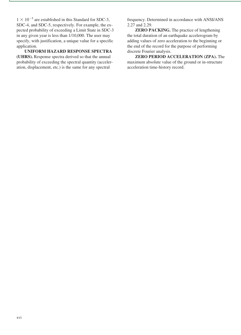$1 \times 10^{-5}$  are established in this Standard for SDC-3, SDC-4, and SDC-5, respectively. For example, the expected probability of exceeding a Limit State in SDC-3 in any given year is less than 1/10,000. The user may specify, with justification, a unique value for a specific application.

**UNIFORM HAZARD RESPONSE SPECTRA (UHRS).** Response spectra derived so that the annual probability of exceeding the spectral quantity (acceleration, displacement, etc.) is the same for any spectral

frequency. Determined in accordance with ANSI/ANS 2.27 and 2.29.

**ZERO PACKING.** The practice of lengthening the total duration of an earthquake accelerogram by adding values of zero acceleration to the beginning or the end of the record for the purpose of performing discrete Fourier analysis.

**ZERO PERIOD ACCELERATION (ZPA).** The maximum absolute value of the ground or in-structure acceleration time-history record.